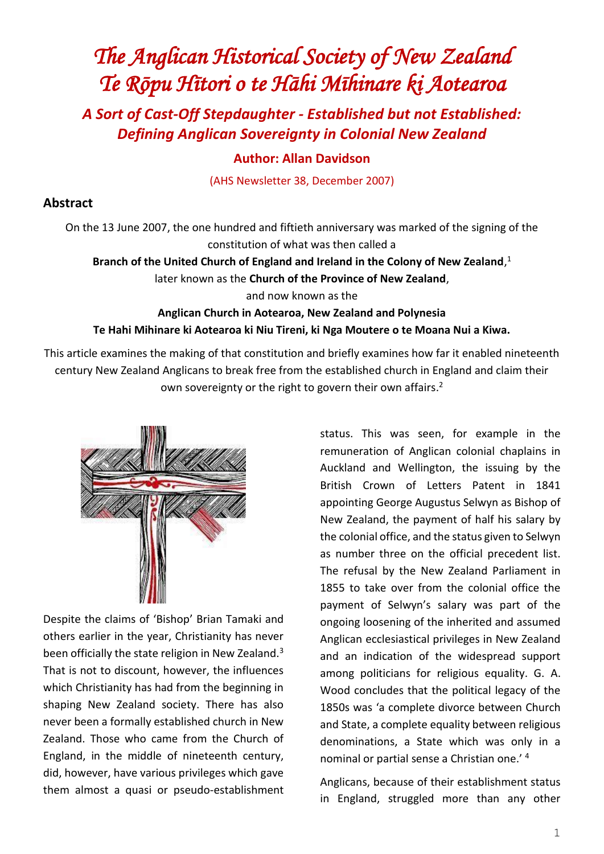# *The Anglican Historical Society of New Zealand Te Rōpu Hītori o te Hāhi Mīhinare ki Aotearoa*

*A Sort of Cast-Off Stepdaughter - Established but not Established: Defining Anglican Sovereignty in Colonial New Zealand*

## **Author: Allan Davidson**

(AHS Newsletter 38, December 2007)

#### **Abstract**

On the 13 June 2007, the one hundred and fiftieth anniversary was marked of the signing of the constitution of what was then called a

**Branch of the United Church of England and Ireland in the Colony of New Zealand**, 1

later known as the **Church of the Province of New Zealand**,

and now known as the

## **Anglican Church in Aotearoa, New Zealand and Polynesia Te Hahi Mihinare ki Aotearoa ki Niu Tireni, ki Nga Moutere o te Moana Nui a Kiwa.**

This article examines the making of that constitution and briefly examines how far it enabled nineteenth century New Zealand Anglicans to break free from the established church in England and claim their own sovereignty or the right to govern their own affairs.<sup>2</sup>



Despite the claims of 'Bishop' Brian Tamaki and others earlier in the year, Christianity has never been officially the state religion in New Zealand.<sup>3</sup> That is not to discount, however, the influences which Christianity has had from the beginning in shaping New Zealand society. There has also never been a formally established church in New Zealand. Those who came from the Church of England, in the middle of nineteenth century, did, however, have various privileges which gave them almost a quasi or pseudo-establishment status. This was seen, for example in the remuneration of Anglican colonial chaplains in Auckland and Wellington, the issuing by the British Crown of Letters Patent in 1841 appointing George Augustus Selwyn as Bishop of New Zealand, the payment of half his salary by the colonial office, and the status given to Selwyn as number three on the official precedent list. The refusal by the New Zealand Parliament in 1855 to take over from the colonial office the payment of Selwyn's salary was part of the ongoing loosening of the inherited and assumed Anglican ecclesiastical privileges in New Zealand and an indication of the widespread support among politicians for religious equality. G. A. Wood concludes that the political legacy of the 1850s was 'a complete divorce between Church and State, a complete equality between religious denominations, a State which was only in a nominal or partial sense a Christian one.' <sup>4</sup>

Anglicans, because of their establishment status in England, struggled more than any other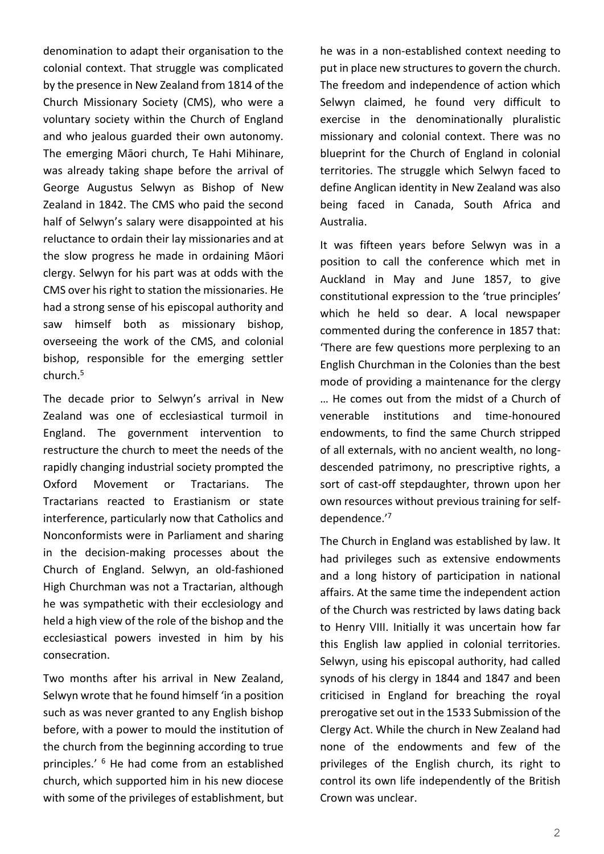denomination to adapt their organisation to the colonial context. That struggle was complicated by the presence in New Zealand from 1814 of the Church Missionary Society (CMS), who were a voluntary society within the Church of England and who jealous guarded their own autonomy. The emerging Māori church, Te Hahi Mihinare, was already taking shape before the arrival of George Augustus Selwyn as Bishop of New Zealand in 1842. The CMS who paid the second half of Selwyn's salary were disappointed at his reluctance to ordain their lay missionaries and at the slow progress he made in ordaining Māori clergy. Selwyn for his part was at odds with the CMS over his right to station the missionaries. He had a strong sense of his episcopal authority and saw himself both as missionary bishop, overseeing the work of the CMS, and colonial bishop, responsible for the emerging settler church.<sup>5</sup>

The decade prior to Selwyn's arrival in New Zealand was one of ecclesiastical turmoil in England. The government intervention to restructure the church to meet the needs of the rapidly changing industrial society prompted the Oxford Movement or Tractarians. The Tractarians reacted to Erastianism or state interference, particularly now that Catholics and Nonconformists were in Parliament and sharing in the decision-making processes about the Church of England. Selwyn, an old-fashioned High Churchman was not a Tractarian, although he was sympathetic with their ecclesiology and held a high view of the role of the bishop and the ecclesiastical powers invested in him by his consecration.

Two months after his arrival in New Zealand, Selwyn wrote that he found himself 'in a position such as was never granted to any English bishop before, with a power to mould the institution of the church from the beginning according to true principles.' <sup>6</sup> He had come from an established church, which supported him in his new diocese with some of the privileges of establishment, but he was in a non-established context needing to put in place new structures to govern the church. The freedom and independence of action which Selwyn claimed, he found very difficult to exercise in the denominationally pluralistic missionary and colonial context. There was no blueprint for the Church of England in colonial territories. The struggle which Selwyn faced to define Anglican identity in New Zealand was also being faced in Canada, South Africa and Australia.

It was fifteen years before Selwyn was in a position to call the conference which met in Auckland in May and June 1857, to give constitutional expression to the 'true principles' which he held so dear. A local newspaper commented during the conference in 1857 that: 'There are few questions more perplexing to an English Churchman in the Colonies than the best mode of providing a maintenance for the clergy … He comes out from the midst of a Church of venerable institutions and time-honoured endowments, to find the same Church stripped of all externals, with no ancient wealth, no longdescended patrimony, no prescriptive rights, a sort of cast-off stepdaughter, thrown upon her own resources without previous training for selfdependence.' 7

The Church in England was established by law. It had privileges such as extensive endowments and a long history of participation in national affairs. At the same time the independent action of the Church was restricted by laws dating back to Henry VIII. Initially it was uncertain how far this English law applied in colonial territories. Selwyn, using his episcopal authority, had called synods of his clergy in 1844 and 1847 and been criticised in England for breaching the royal prerogative set out in the 1533 Submission of the Clergy Act. While the church in New Zealand had none of the endowments and few of the privileges of the English church, its right to control its own life independently of the British Crown was unclear.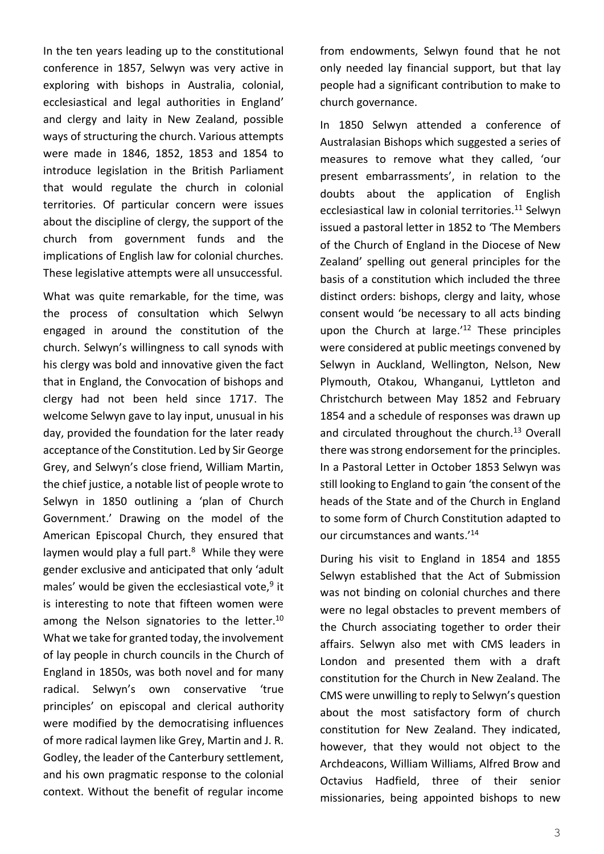In the ten years leading up to the constitutional conference in 1857, Selwyn was very active in exploring with bishops in Australia, colonial, ecclesiastical and legal authorities in England' and clergy and laity in New Zealand, possible ways of structuring the church. Various attempts were made in 1846, 1852, 1853 and 1854 to introduce legislation in the British Parliament that would regulate the church in colonial territories. Of particular concern were issues about the discipline of clergy, the support of the church from government funds and the implications of English law for colonial churches. These legislative attempts were all unsuccessful.

What was quite remarkable, for the time, was the process of consultation which Selwyn engaged in around the constitution of the church. Selwyn's willingness to call synods with his clergy was bold and innovative given the fact that in England, the Convocation of bishops and clergy had not been held since 1717. The welcome Selwyn gave to lay input, unusual in his day, provided the foundation for the later ready acceptance of the Constitution. Led by Sir George Grey, and Selwyn's close friend, William Martin, the chief justice, a notable list of people wrote to Selwyn in 1850 outlining a 'plan of Church Government.' Drawing on the model of the American Episcopal Church, they ensured that laymen would play a full part.<sup>8</sup> While they were gender exclusive and anticipated that only 'adult males' would be given the ecclesiastical vote,<sup>9</sup> it is interesting to note that fifteen women were among the Nelson signatories to the letter.<sup>10</sup> What we take for granted today, the involvement of lay people in church councils in the Church of England in 1850s, was both novel and for many radical. Selwyn's own conservative 'true principles' on episcopal and clerical authority were modified by the democratising influences of more radical laymen like Grey, Martin and J. R. Godley, the leader of the Canterbury settlement, and his own pragmatic response to the colonial context. Without the benefit of regular income

from endowments, Selwyn found that he not only needed lay financial support, but that lay people had a significant contribution to make to church governance.

In 1850 Selwyn attended a conference of Australasian Bishops which suggested a series of measures to remove what they called, 'our present embarrassments', in relation to the doubts about the application of English ecclesiastical law in colonial territories.<sup>11</sup> Selwyn issued a pastoral letter in 1852 to 'The Members of the Church of England in the Diocese of New Zealand' spelling out general principles for the basis of a constitution which included the three distinct orders: bishops, clergy and laity, whose consent would 'be necessary to all acts binding upon the Church at large.'<sup>12</sup> These principles were considered at public meetings convened by Selwyn in Auckland, Wellington, Nelson, New Plymouth, Otakou, Whanganui, Lyttleton and Christchurch between May 1852 and February 1854 and a schedule of responses was drawn up and circulated throughout the church.<sup>13</sup> Overall there was strong endorsement for the principles. In a Pastoral Letter in October 1853 Selwyn was still looking to England to gain 'the consent of the heads of the State and of the Church in England to some form of Church Constitution adapted to our circumstances and wants.'<sup>14</sup>

During his visit to England in 1854 and 1855 Selwyn established that the Act of Submission was not binding on colonial churches and there were no legal obstacles to prevent members of the Church associating together to order their affairs. Selwyn also met with CMS leaders in London and presented them with a draft constitution for the Church in New Zealand. The CMS were unwilling to reply to Selwyn's question about the most satisfactory form of church constitution for New Zealand. They indicated, however, that they would not object to the Archdeacons, William Williams, Alfred Brow and Octavius Hadfield, three of their senior missionaries, being appointed bishops to new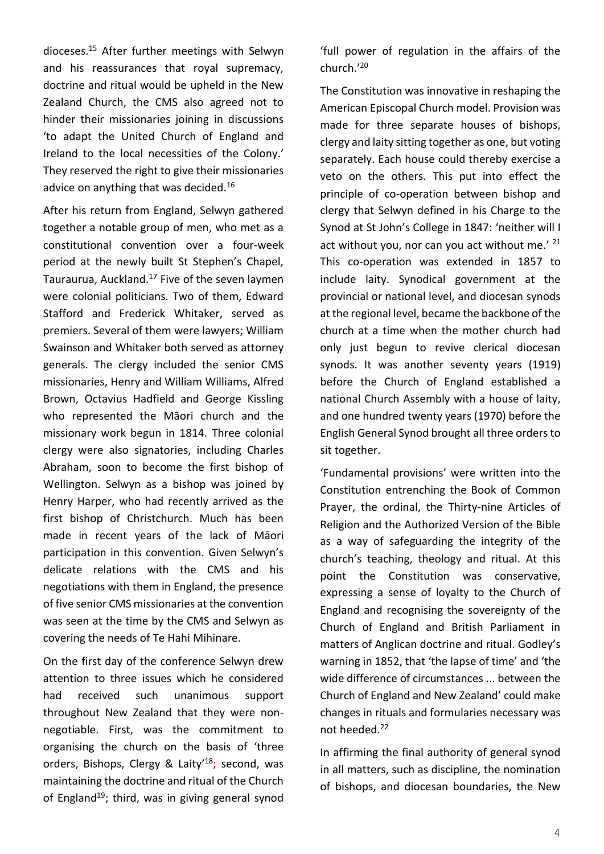dioceses.<sup>15</sup> After further meetings with Selwyn and his reassurances that royal supremacy, doctrine and ritual would be upheld in the New Zealand Church, the CMS also agreed not to hinder their missionaries joining in discussions 'to adapt the United Church of England and Ireland to the local necessities of the Colony.' They reserved the right to give their missionaries advice on anything that was decided.<sup>16</sup>

After his return from England, Selwyn gathered together a notable group of men, who met as a constitutional convention over a four-week period at the newly built St Stephen's Chapel, Tauraurua, Auckland.<sup>17</sup> Five of the seven laymen were colonial politicians. Two of them, Edward Stafford and Frederick Whitaker, served as premiers. Several of them were lawyers; William Swainson and Whitaker both served as attorney generals. The clergy included the senior CMS missionaries, Henry and William Williams, Alfred Brown, Octavius Hadfield and George Kissling who represented the Māori church and the missionary work begun in 1814. Three colonial clergy were also signatories, including Charles Abraham, soon to become the first bishop of Wellington. Selwyn as a bishop was joined by Henry Harper, who had recently arrived as the first bishop of Christchurch. Much has been made in recent years of the lack of Māori participation in this convention. Given Selwyn's delicate relations with the CMS and his negotiations with them in England, the presence of five senior CMS missionaries at the convention was seen at the time by the CMS and Selwyn as covering the needs of Te Hahi Mihinare.

On the first day of the conference Selwyn drew attention to three issues which he considered had received such unanimous support throughout New Zealand that they were nonnegotiable. First, was the commitment to organising the church on the basis of 'three orders, Bishops, Clergy & Laity<sup>'18</sup>; second, was maintaining the doctrine and ritual of the Church of England<sup>19</sup>; third, was in giving general synod 'full power of regulation in the affairs of the church.'<sup>20</sup>

The Constitution was innovative in reshaping the American Episcopal Church model. Provision was made for three separate houses of bishops, clergy and laity sitting together as one, but voting separately. Each house could thereby exercise a veto on the others. This put into effect the principle of co-operation between bishop and clergy that Selwyn defined in his Charge to the Synod at St John's College in 1847: 'neither will I act without you, nor can you act without me.'  $21$ This co-operation was extended in 1857 to include laity. Synodical government at the provincial or national level, and diocesan synods at the regional level, became the backbone of the church at a time when the mother church had only just begun to revive clerical diocesan synods. It was another seventy years (1919) before the Church of England established a national Church Assembly with a house of laity, and one hundred twenty years (1970) before the English General Synod brought all three orders to sit together.

'Fundamental provisions' were written into the Constitution entrenching the Book of Common Prayer, the ordinal, the Thirty-nine Articles of Religion and the Authorized Version of the Bible as a way of safeguarding the integrity of the church's teaching, theology and ritual. At this point the Constitution was conservative, expressing a sense of loyalty to the Church of England and recognising the sovereignty of the Church of England and British Parliament in matters of Anglican doctrine and ritual. Godley's warning in 1852, that 'the lapse of time' and 'the wide difference of circumstances ... between the Church of England and New Zealand' could make changes in rituals and formularies necessary was not heeded.<sup>22</sup>

In affirming the final authority of general synod in all matters, such as discipline, the nomination of bishops, and diocesan boundaries, the New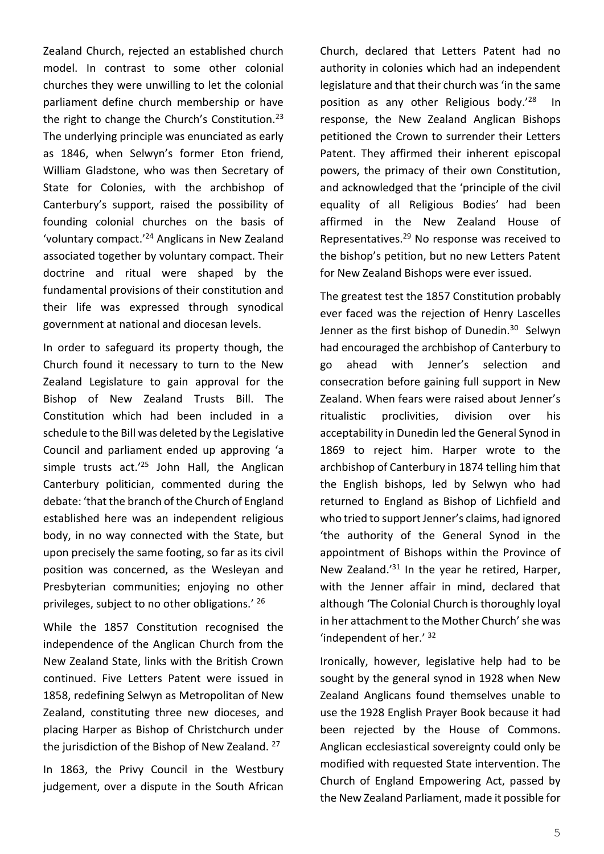Zealand Church, rejected an established church model. In contrast to some other colonial churches they were unwilling to let the colonial parliament define church membership or have the right to change the Church's Constitution.<sup>23</sup> The underlying principle was enunciated as early as 1846, when Selwyn's former Eton friend, William Gladstone, who was then Secretary of State for Colonies, with the archbishop of Canterbury's support, raised the possibility of founding colonial churches on the basis of 'voluntary compact.'<sup>24</sup> Anglicans in New Zealand associated together by voluntary compact. Their doctrine and ritual were shaped by the fundamental provisions of their constitution and their life was expressed through synodical government at national and diocesan levels.

In order to safeguard its property though, the Church found it necessary to turn to the New Zealand Legislature to gain approval for the Bishop of New Zealand Trusts Bill. The Constitution which had been included in a schedule to the Bill was deleted by the Legislative Council and parliament ended up approving 'a simple trusts  $act.'^{25}$  John Hall, the Anglican Canterbury politician, commented during the debate: 'that the branch of the Church of England established here was an independent religious body, in no way connected with the State, but upon precisely the same footing, so far as its civil position was concerned, as the Wesleyan and Presbyterian communities; enjoying no other privileges, subject to no other obligations.' 26

While the 1857 Constitution recognised the independence of the Anglican Church from the New Zealand State, links with the British Crown continued. Five Letters Patent were issued in 1858, redefining Selwyn as Metropolitan of New Zealand, constituting three new dioceses, and placing Harper as Bishop of Christchurch under the jurisdiction of the Bishop of New Zealand. <sup>27</sup>

In 1863, the Privy Council in the Westbury judgement, over a dispute in the South African Church, declared that Letters Patent had no authority in colonies which had an independent legislature and that their church was 'in the same position as any other Religious body.' 28 In response, the New Zealand Anglican Bishops petitioned the Crown to surrender their Letters Patent. They affirmed their inherent episcopal powers, the primacy of their own Constitution, and acknowledged that the 'principle of the civil equality of all Religious Bodies' had been affirmed in the New Zealand House of Representatives.<sup>29</sup> No response was received to the bishop's petition, but no new Letters Patent for New Zealand Bishops were ever issued.

The greatest test the 1857 Constitution probably ever faced was the rejection of Henry Lascelles Jenner as the first bishop of Dunedin.<sup>30</sup> Selwyn had encouraged the archbishop of Canterbury to go ahead with Jenner's selection and consecration before gaining full support in New Zealand. When fears were raised about Jenner's ritualistic proclivities, division over his acceptability in Dunedin led the General Synod in 1869 to reject him. Harper wrote to the archbishop of Canterbury in 1874 telling him that the English bishops, led by Selwyn who had returned to England as Bishop of Lichfield and who tried to support Jenner's claims, had ignored 'the authority of the General Synod in the appointment of Bishops within the Province of New Zealand.'<sup>31</sup> In the year he retired, Harper, with the Jenner affair in mind, declared that although 'The Colonial Church is thoroughly loyal in her attachment to the Mother Church'she was 'independent of her.' <sup>32</sup>

Ironically, however, legislative help had to be sought by the general synod in 1928 when New Zealand Anglicans found themselves unable to use the 1928 English Prayer Book because it had been rejected by the House of Commons. Anglican ecclesiastical sovereignty could only be modified with requested State intervention. The Church of England Empowering Act, passed by the New Zealand Parliament, made it possible for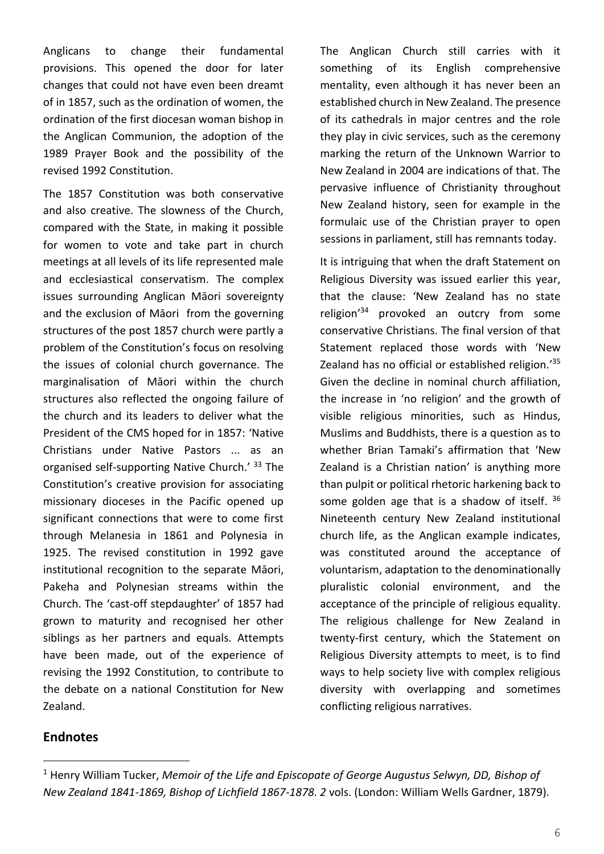Anglicans to change their fundamental provisions. This opened the door for later changes that could not have even been dreamt of in 1857, such as the ordination of women, the ordination of the first diocesan woman bishop in the Anglican Communion, the adoption of the 1989 Prayer Book and the possibility of the revised 1992 Constitution.

The 1857 Constitution was both conservative and also creative. The slowness of the Church, compared with the State, in making it possible for women to vote and take part in church meetings at all levels of its life represented male and ecclesiastical conservatism. The complex issues surrounding Anglican Māori sovereignty and the exclusion of Māori from the governing structures of the post 1857 church were partly a problem of the Constitution's focus on resolving the issues of colonial church governance. The marginalisation of Māori within the church structures also reflected the ongoing failure of the church and its leaders to deliver what the President of the CMS hoped for in 1857: 'Native Christians under Native Pastors ... as an organised self-supporting Native Church.' 33 The Constitution's creative provision for associating missionary dioceses in the Pacific opened up significant connections that were to come first through Melanesia in 1861 and Polynesia in 1925. The revised constitution in 1992 gave institutional recognition to the separate Māori, Pakeha and Polynesian streams within the Church. The 'cast-off stepdaughter' of 1857 had grown to maturity and recognised her other siblings as her partners and equals. Attempts have been made, out of the experience of revising the 1992 Constitution, to contribute to the debate on a national Constitution for New Zealand.

The Anglican Church still carries with it something of its English comprehensive mentality, even although it has never been an established church in New Zealand. The presence of its cathedrals in major centres and the role they play in civic services, such as the ceremony marking the return of the Unknown Warrior to New Zealand in 2004 are indications of that. The pervasive influence of Christianity throughout New Zealand history, seen for example in the formulaic use of the Christian prayer to open sessions in parliament, still has remnants today.

It is intriguing that when the draft Statement on Religious Diversity was issued earlier this year, that the clause: 'New Zealand has no state religion' <sup>34</sup> provoked an outcry from some conservative Christians. The final version of that Statement replaced those words with 'New Zealand has no official or established religion.<sup>'35</sup> Given the decline in nominal church affiliation, the increase in 'no religion' and the growth of visible religious minorities, such as Hindus, Muslims and Buddhists, there is a question as to whether Brian Tamaki's affirmation that 'New Zealand is a Christian nation' is anything more than pulpit or political rhetoric harkening back to some golden age that is a shadow of itself. <sup>36</sup> Nineteenth century New Zealand institutional church life, as the Anglican example indicates, was constituted around the acceptance of voluntarism, adaptation to the denominationally pluralistic colonial environment, and the acceptance of the principle of religious equality. The religious challenge for New Zealand in twenty-first century, which the Statement on Religious Diversity attempts to meet, is to find ways to help society live with complex religious diversity with overlapping and sometimes conflicting religious narratives.

### **Endnotes**

<sup>1</sup> Henry William Tucker, *Memoir of the Life and Episcopate of George Augustus Selwyn, DD, Bishop of New Zealand 1841-1869, Bishop of Lichfield 1867-1878. 2* vols. (London: William Wells Gardner, 1879).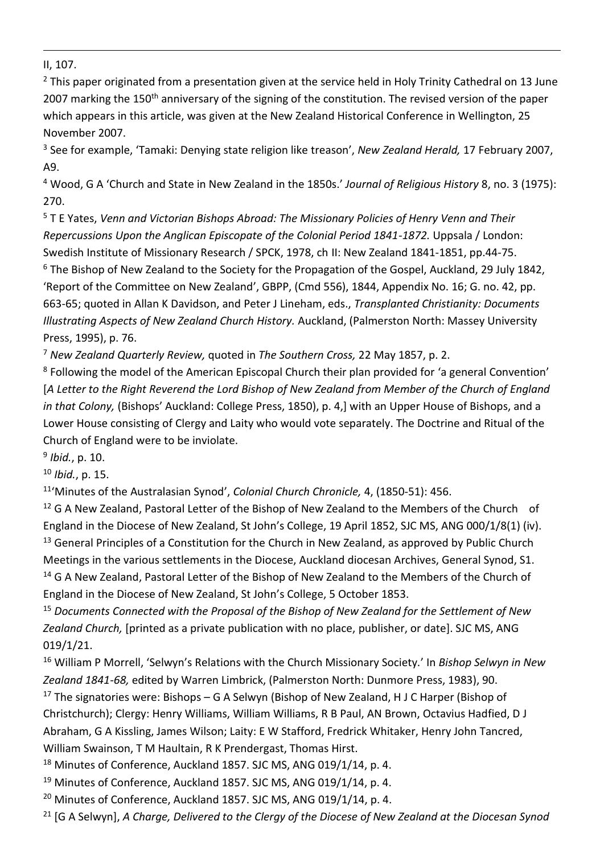II, 107.

 $2$  This paper originated from a presentation given at the service held in Holy Trinity Cathedral on 13 June 2007 marking the 150<sup>th</sup> anniversary of the signing of the constitution. The revised version of the paper which appears in this article, was given at the New Zealand Historical Conference in Wellington, 25 November 2007.

<sup>3</sup> See for example, 'Tamaki: Denying state religion like treason', *New Zealand Herald,* 17 February 2007, A9.

<sup>4</sup> Wood, G A 'Church and State in New Zealand in the 1850s.' *Journal of Religious History* 8, no. 3 (1975): 270.

<sup>5</sup> T E Yates, *Venn and Victorian Bishops Abroad: The Missionary Policies of Henry Venn and Their Repercussions Upon the Anglican Episcopate of the Colonial Period 1841-1872.* Uppsala / London: Swedish Institute of Missionary Research / SPCK, 1978, ch II: New Zealand 1841-1851, pp.44-75. <sup>6</sup> The Bishop of New Zealand to the Society for the Propagation of the Gospel, Auckland, 29 July 1842, 'Report of the Committee on New Zealand', GBPP, (Cmd 556), 1844, Appendix No. 16; G. no. 42, pp. 663-65; quoted in Allan K Davidson, and Peter J Lineham, eds., *Transplanted Christianity: Documents Illustrating Aspects of New Zealand Church History.* Auckland, (Palmerston North: Massey University Press, 1995), p. 76.

<sup>7</sup> *New Zealand Quarterly Review,* quoted in *The Southern Cross,* 22 May 1857, p. 2.

<sup>8</sup> Following the model of the American Episcopal Church their plan provided for 'a general Convention' [*A Letter to the Right Reverend the Lord Bishop of New Zealand from Member of the Church of England in that Colony,* (Bishops' Auckland: College Press, 1850), p. 4,] with an Upper House of Bishops, and a Lower House consisting of Clergy and Laity who would vote separately. The Doctrine and Ritual of the Church of England were to be inviolate.

9 *Ibid.*, p. 10.

<sup>10</sup> *Ibid.*, p. 15.

11 'Minutes of the Australasian Synod', *Colonial Church Chronicle,* 4, (1850-51): 456.

<sup>12</sup> G A New Zealand, Pastoral Letter of the Bishop of New Zealand to the Members of the Church of England in the Diocese of New Zealand, St John's College, 19 April 1852, SJC MS, ANG 000/1/8(1) (iv). <sup>13</sup> General Principles of a Constitution for the Church in New Zealand, as approved by Public Church Meetings in the various settlements in the Diocese, Auckland diocesan Archives, General Synod, S1. <sup>14</sup> G A New Zealand, Pastoral Letter of the Bishop of New Zealand to the Members of the Church of England in the Diocese of New Zealand, St John's College, 5 October 1853.

<sup>15</sup> *Documents Connected with the Proposal of the Bishop of New Zealand for the Settlement of New Zealand Church,* [printed as a private publication with no place, publisher, or date]. SJC MS, ANG 019/1/21.

<sup>16</sup> William P Morrell, 'Selwyn's Relations with the Church Missionary Society.' In *Bishop Selwyn in New Zealand 1841-68,* edited by Warren Limbrick, (Palmerston North: Dunmore Press, 1983), 90.

<sup>17</sup> The signatories were: Bishops – G A Selwyn (Bishop of New Zealand, H J C Harper (Bishop of Christchurch); Clergy: Henry Williams, William Williams, R B Paul, AN Brown, Octavius Hadfied, D J Abraham, G A Kissling, James Wilson; Laity: E W Stafford, Fredrick Whitaker, Henry John Tancred, William Swainson, T M Haultain, R K Prendergast, Thomas Hirst.

<sup>18</sup> Minutes of Conference, Auckland 1857. SJC MS, ANG 019/1/14, p. 4.

 $19$  Minutes of Conference, Auckland 1857. SJC MS, ANG 019/1/14, p. 4.

<sup>20</sup> Minutes of Conference, Auckland 1857. SJC MS, ANG 019/1/14, p. 4.

<sup>21</sup> [G A Selwyn], *A Charge, Delivered to the Clergy of the Diocese of New Zealand at the Diocesan Synod*